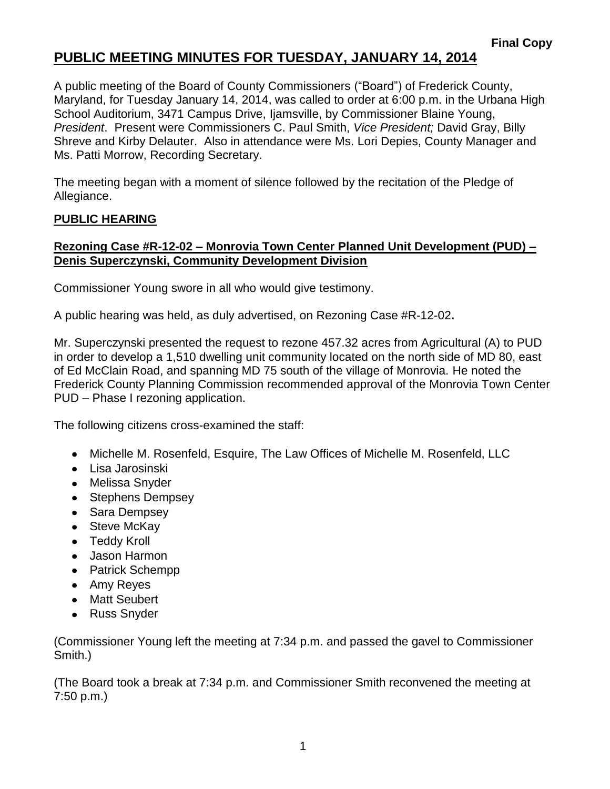### **PUBLIC MEETING MINUTES FOR TUESDAY, JANUARY 14, 2014**

A public meeting of the Board of County Commissioners ("Board") of Frederick County, Maryland, for Tuesday January 14, 2014, was called to order at 6:00 p.m. in the Urbana High School Auditorium, 3471 Campus Drive, Ijamsville, by Commissioner Blaine Young, *President*. Present were Commissioners C. Paul Smith, *Vice President;* David Gray, Billy Shreve and Kirby Delauter. Also in attendance were Ms. Lori Depies, County Manager and Ms. Patti Morrow, Recording Secretary.

The meeting began with a moment of silence followed by the recitation of the Pledge of Allegiance.

#### **PUBLIC HEARING**

#### **Rezoning Case #R-12-02 – Monrovia Town Center Planned Unit Development (PUD) – Denis Superczynski, Community Development Division**

Commissioner Young swore in all who would give testimony.

A public hearing was held, as duly advertised, on Rezoning Case #R-12-02**.**

Mr. Superczynski presented the request to rezone 457.32 acres from Agricultural (A) to PUD in order to develop a 1,510 dwelling unit community located on the north side of MD 80, east of Ed McClain Road, and spanning MD 75 south of the village of Monrovia. He noted the Frederick County Planning Commission recommended approval of the Monrovia Town Center PUD – Phase I rezoning application.

The following citizens cross-examined the staff:

- Michelle M. Rosenfeld, Esquire, The Law Offices of Michelle M. Rosenfeld, LLC
- Lisa Jarosinski
- Melissa Snyder
- Stephens Dempsey
- Sara Dempsey
- Steve McKay
- Teddy Kroll
- Jason Harmon
- Patrick Schempp
- Amy Reyes
- Matt Seubert
- Russ Snyder

(Commissioner Young left the meeting at 7:34 p.m. and passed the gavel to Commissioner Smith.)

(The Board took a break at 7:34 p.m. and Commissioner Smith reconvened the meeting at 7:50 p.m.)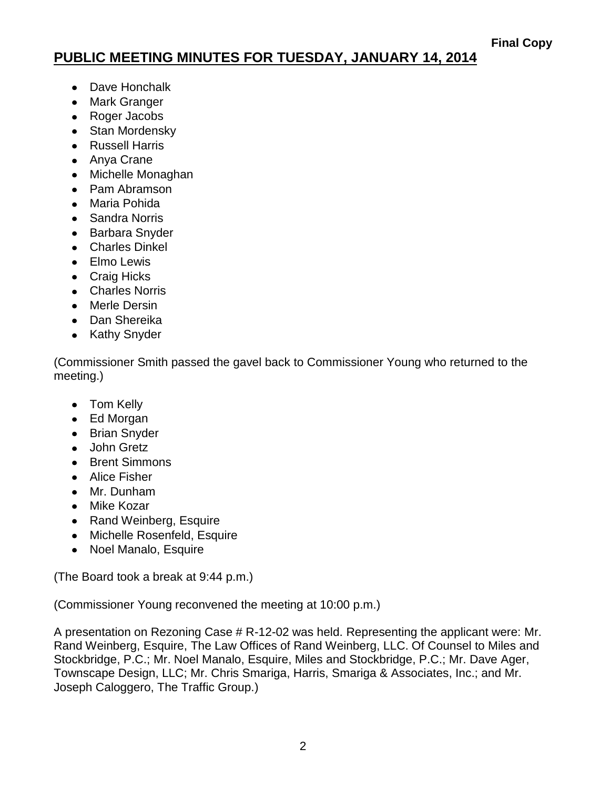# **PUBLIC MEETING MINUTES FOR TUESDAY, JANUARY 14, 2014**

- Dave Honchalk
- Mark Granger
- Roger Jacobs
- Stan Mordensky
- Russell Harris
- Anya Crane
- Michelle Monaghan
- Pam Abramson
- Maria Pohida
- Sandra Norris
- Barbara Snyder
- Charles Dinkel
- Elmo Lewis
- Craig Hicks
- Charles Norris
- Merle Dersin
- Dan Shereika
- Kathy Snyder

(Commissioner Smith passed the gavel back to Commissioner Young who returned to the meeting.)

- Tom Kelly
- Ed Morgan
- Brian Snyder
- John Gretz
- Brent Simmons
- Alice Fisher
- Mr. Dunham
- Mike Kozar
- Rand Weinberg, Esquire
- Michelle Rosenfeld, Esquire
- Noel Manalo, Esquire

(The Board took a break at 9:44 p.m.)

(Commissioner Young reconvened the meeting at 10:00 p.m.)

A presentation on Rezoning Case # R-12-02 was held. Representing the applicant were: Mr. Rand Weinberg, Esquire, The Law Offices of Rand Weinberg, LLC. Of Counsel to Miles and Stockbridge, P.C.; Mr. Noel Manalo, Esquire, Miles and Stockbridge, P.C.; Mr. Dave Ager, Townscape Design, LLC; Mr. Chris Smariga, Harris, Smariga & Associates, Inc.; and Mr. Joseph Caloggero, The Traffic Group.)